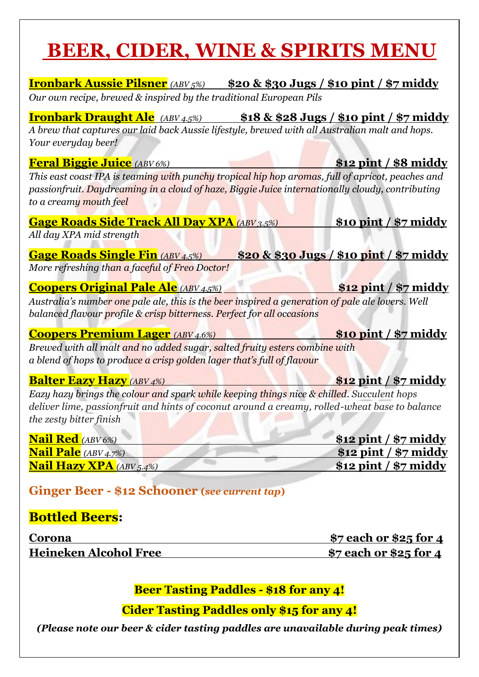# **BEER, CIDER, WINE & SPIRITS MENU**

| <u>Ironbark Aussie Pilsner (ABV5%) \$20 &amp; \$30 Jugs / \$10 pint / \$7 middy</u><br>Our own recipe, brewed & inspired by the traditional European Pils                                                                                                 |                                                    |
|-----------------------------------------------------------------------------------------------------------------------------------------------------------------------------------------------------------------------------------------------------------|----------------------------------------------------|
| <b>Ironbark Draught Ale</b> (ABV 4.5%) \$18 & \$28 Jugs / \$10 pint / \$7 middy<br>A brew that captures our laid back Aussie lifestyle, brewed with all Australian malt and hops.<br>Your everyday beer!                                                  |                                                    |
| <b>Feral Biggie Juice</b> (ABV 6%)<br>This east coast IPA is teaming with punchy tropical hip hop aromas, full of apricot, peaches and                                                                                                                    | \$12 pint / \$8 middy                              |
| passionfruit. Daydreaming in a cloud of haze, Biggie Juice internationally cloudy, contributing<br>to a creamy mouth feel<br><b>Gage Roads Side Track All Day XPA</b> (ABV 3.5%)                                                                          | $$10$ pint / $$7$ middy                            |
| All day XPA mid strength<br><b>Gage Roads Single Fin</b> (ABV 4.5%)                                                                                                                                                                                       | \$20 & \$30 Jugs / \$10 pint / \$7 middy           |
| More refreshing than a faceful of Freo Doctor!<br><b>Coopers Original Pale Ale (ABV 4.5%)</b>                                                                                                                                                             | $$12$ pint / $$7$ middy                            |
| Australia's number one pale ale, this is the beer inspired a generation of pale ale lovers. Well<br>balanced flavour profile & crisp bitterness. Perfect for all occasions                                                                                |                                                    |
| <b>Coopers Premium Lager</b> (ABV 4.6%)<br>Brewed with all malt and no added sugar, salted fruity esters combine with<br>a blend of hops to produce a crisp golden lager that's full of flavour                                                           | $$10$ pint / $$7$ middy                            |
| <b>Balter Eazy Hazy</b> (ABV 4%)<br>Eazy hazy brings the colour and spark while keeping things nice & chilled. Succulent hops<br>deliver lime, passionfruit and hints of coconut around a creamy, rolled-wheat base to balance<br>the zesty bitter finish | $$12$ pint / $$7$ middy                            |
| <b>Nail Red</b> (ABV 6%)                                                                                                                                                                                                                                  | <u>\$12 pint / \$7 middy</u>                       |
| <b>Nail Pale</b> (ABV 4.7%)<br><b>Nail Hazy XPA</b> (ABV 5.4%)                                                                                                                                                                                            | $$12$ pint / $$7$ middy<br>$$12$ pint / $$7$ middy |
| <b>Ginger Beer - \$12 Schooner (see current tap)</b>                                                                                                                                                                                                      |                                                    |
| <b>Bottled Beers:</b>                                                                                                                                                                                                                                     |                                                    |
| Corona                                                                                                                                                                                                                                                    | <u>\$7 each or \$25 for 4</u>                      |
| <b>Heineken Alcohol Free</b>                                                                                                                                                                                                                              | <u>\$7 each or \$25 for 4</u>                      |

**Beer Tasting Paddles - \$18 for any 4!**

**Cider Tasting Paddles only \$15 for any 4!**

*(Please note our beer & cider tasting paddles are unavailable during peak times)*